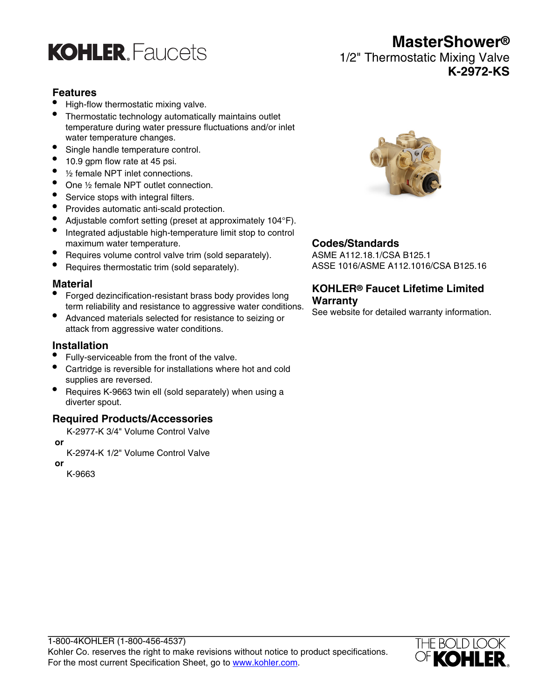

# **Features**

- High-flow thermostatic mixing valve.
- Thermostatic technology automatically maintains outlet temperature during water pressure fluctuations and/or inlet water temperature changes.
- Single handle temperature control.
- 10.9 gpm flow rate at 45 psi.
- 1/2 female NPT inlet connections.
- One 1/2 female NPT outlet connection.
- Service stops with integral filters.
- Provides automatic anti-scald protection.
- Adjustable comfort setting (preset at approximately 104°F).
- Integrated adjustable high-temperature limit stop to control maximum water temperature.
- Requires volume control valve trim (sold separately).
- Requires thermostatic trim (sold separately).

#### **Material**

- Forged dezincification-resistant brass body provides long term reliability and resistance to aggressive water conditions.
- Advanced materials selected for resistance to seizing or attack from aggressive water conditions.

#### **Installation**

- Fully-serviceable from the front of the valve.
- Cartridge is reversible for installations where hot and cold supplies are reversed.
- Requires K-9663 twin ell (sold separately) when using a diverter spout.

#### **Required Products/Accessories**

K-2977-K 3/4" Volume Control Valve

 **or**

K-2974-K 1/2" Volume Control Valve

 **or** K-9663



**MasterShower®**

**K-2972-KS**

1/2" Thermostatic Mixing Valve

## **Codes/Standards**

ASME A112.18.1/CSA B125.1 ASSE 1016/ASME A112.1016/CSA B125.16

## **KOHLER® Faucet Lifetime Limited Warranty**

See website for detailed warranty information.